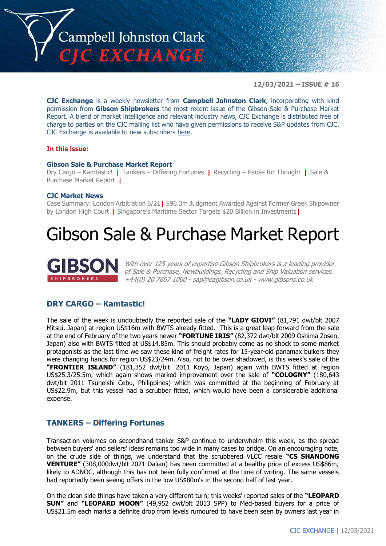

**12/03/2021 – ISSUE # 16**

**CJC Exchange** is a weekly newsletter from **Campbell Johnston Clark**, incorporating with kind permission from **Gibson Shipbrokers** the most recent issue of the Gibson Sale & Purchase Market Report. A blend of market intelligence and relevant industry news, CJC Exchange is distributed free of charge to parties on the CJC mailing list who have given permissions to receive S&P updates from CJC. CJC Exchange is available to new subscribers [here.](mailto:jamesc@cjclaw.com?subject=CJC%20Exchange%20sign-up)

### **In this issue:**

### **Gibson Sale & Purchase Market Report**

Dry Cargo – Kamtastic! **|** Tankers – Differing Fortunes **|** Recycling – Pause for Thought **|** Sale & Purchase Market Report **|**

### **CJC Market News**

Case Summary: London Arbitration 6/21**|** \$96.3m Judgment Awarded Against Former Greek Shipowner by London High Court **|** Singapore's Maritime Sector Targets \$20 Billion in Investments**|**

# Gibson Sale & Purchase Market Report



With over 125 years of expertise Gibson Shipbrokers is a leading provider of Sale & Purchase, Newbuildings, Recycling and Ship Valuation services. +44(0) 20 7667 1000 - [sap@eagibson.co.uk](mailto:sap@eagibson.co.uk) - [www.gibsons.co.uk](https://protect-eu.mimecast.com/s/VO6nCGZzRS60KqcK1jQh/)

# **DRY CARGO – Kamtastic!**

The sale of the week is undoubtedly the reported sale of the **"LADY GIOVI"** (81,791 dwt/blt 2007 Mitsui, Japan) at region US\$16m with BWTS already fitted. This is a great leap forward from the sale at the end of February of the two years newer **"FORTUNE IRIS"** (82,372 dwt/blt 2009 Oshima Zosen, Japan) also with BWTS fitted at US\$14.85m. This should probably come as no shock to some market protagonists as the last time we saw these kind of freight rates for 15-year-old panamax bulkers they were changing hands for region US\$23/24m. Also, not to be over shadowed, is this week's sale of the **"FRONTIER ISLAND"** (181,352 dwt/blt 2011 Koyo, Japan) again with BWTS fitted at region US\$25.3/25.5m, which again shows marked improvement over the sale of **"COLOGNY"** (180,643 dwt/blt 2011 Tsuneishi Cebu, Philippines) which was committed at the beginning of February at US\$22.9m, but this vessel had a scrubber fitted, which would have been a considerable additional expense.

# **TANKERS – Differing Fortunes**

Transaction volumes on secondhand tanker S&P continue to underwhelm this week, as the spread between buyers' and sellers' ideas remains too wide in many cases to bridge. On an encouraging note, on the crude side of things, we understand that the scrubbered VLCC resale **"CS SHANDONG VENTURE"** (308,000dwt/blt 2021 Dalian) has been committed at a healthy price of excess US\$86m, likely to ADNOC, although this has not been fully confirmed at the time of writing. The same vessels had reportedly been seeing offers in the low US\$80m's in the second half of last year.

On the clean side things have taken a very different turn; this weeks' reported sales of the **"LEOPARD SUN"** and **"LEOPARD MOON"** (49,952 dwt/blt 2013 SPP) to Med-based buyers for a price of US\$21.5m each marks a definite drop from levels rumoured to have been seen by owners last year in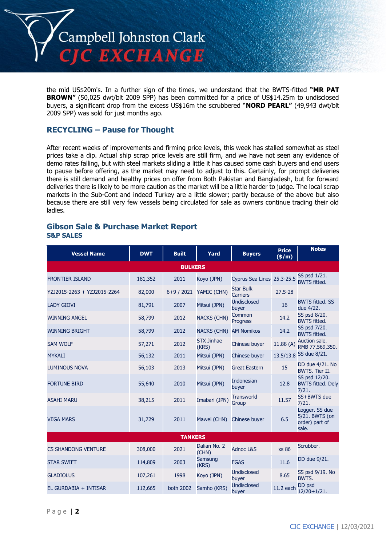

the mid US\$20m's. In a further sign of the times, we understand that the BWTS-fitted **"MR PAT BROWN"** (50,025 dwt/blt 2009 SPP) has been committed for a price of US\$14.25m to undisclosed buyers, a significant drop from the excess US\$16m the scrubbered "**NORD PEARL"** (49,943 dwt/blt 2009 SPP) was sold for just months ago.

# **RECYCLING – Pause for Thought**

After recent weeks of improvements and firming price levels, this week has stalled somewhat as steel prices take a dip. Actual ship scrap price levels are still firm, and we have not seen any evidence of demo rates falling, but with steel markets sliding a little it has caused some cash buyers and end users to pause before offering, as the market may need to adjust to this. Certainly, for prompt deliveries there is still demand and healthy prices on offer from Both Pakistan and Bangladesh, but for forward deliveries there is likely to be more caution as the market will be a little harder to judge. The local scrap markets in the Sub-Cont and indeed Turkey are a little slower; partly because of the above but also because there are still very few vessels being circulated for sale as owners continue trading their old ladies.

## **Gibson Sale & Purchase Market Report S&P SALES**

| <b>Vessel Name</b>          | <b>DWT</b> | <b>Built</b> | Yard                       | <b>Buyers</b>                       | <b>Price</b><br>$(\frac{\epsilon}{m})$ | <b>Notes</b>                                                |  |
|-----------------------------|------------|--------------|----------------------------|-------------------------------------|----------------------------------------|-------------------------------------------------------------|--|
| <b>BULKERS</b>              |            |              |                            |                                     |                                        |                                                             |  |
| <b>FRONTIER ISLAND</b>      | 181,352    | 2011         | Koyo (JPN)                 | Cyprus Sea Lines 25.3-25.5          |                                        | SS psd 1/21.<br><b>BWTS fitted.</b>                         |  |
| YZJ2015-2263 + YZJ2015-2264 | 82,000     | $6+9/2021$   | YAMIC (CHN)                | <b>Star Bulk</b><br><b>Carriers</b> | $27.5 - 28$                            |                                                             |  |
| <b>LADY GIOVI</b>           | 81,791     | 2007         | Mitsui (JPN)               | <b>Undisclosed</b><br>buyer         | 16                                     | <b>BWTS fitted, SS</b><br>due 4/22.                         |  |
| <b>WINNING ANGEL</b>        | 58,799     | 2012         | <b>NACKS (CHN)</b>         | Common<br>Progress                  | 14.2                                   | SS psd 8/20.<br><b>BWTS fitted.</b>                         |  |
| <b>WINNING BRIGHT</b>       | 58,799     | 2012         | <b>NACKS (CHN)</b>         | <b>AM Nomikos</b>                   | 14.2                                   | SS psd 7/20.<br><b>BWTS fitted.</b>                         |  |
| <b>SAM WOLF</b>             | 57,271     | 2012         | <b>STX Jinhae</b><br>(KRS) | Chinese buyer                       | 11.88(A)                               | Auction sale.<br>RMB 77,569,350.                            |  |
| <b>MYKALI</b>               | 56,132     | 2011         | Mitsui (JPN)               | Chinese buyer                       |                                        | 13.5/13.8 SS due 8/21.                                      |  |
| <b>LUMINOUS NOVA</b>        | 56,103     | 2013         | Mitsui (JPN)               | <b>Great Eastern</b>                | 15                                     | DD due 4/21. No<br><b>BWTS. Tier II.</b>                    |  |
| <b>FORTUNE BIRD</b>         | 55,640     | 2010         | Mitsui (JPN)               | <b>Indonesian</b><br>buyer          | 12.8                                   | SS psd 12/20.<br><b>BWTS fitted. Dely</b><br>7/21.          |  |
| <b>ASAHI MARU</b>           | 38,215     | 2011         | Imabari (JPN)              | <b>Transworld</b><br>Group          | 11.57                                  | SS+BWTS due<br>7/21.                                        |  |
| <b>VEGA MARS</b>            | 31,729     | 2011         | Mawei (CHN)                | Chinese buyer                       | 6.5                                    | Logger. SS due<br>5/21. BWTS (on<br>order) part of<br>sale. |  |
| <b>TANKERS</b>              |            |              |                            |                                     |                                        |                                                             |  |
| <b>CS SHANDONG VENTURE</b>  | 308,000    | 2021         | Dalian No. 2<br>(CHN)      | <b>Adnoc L&amp;S</b>                | <b>xs 86</b>                           | Scrubber.                                                   |  |
| <b>STAR SWIFT</b>           | 114,809    | 2003         | Samsung<br>(KRS)           | <b>FGAS</b>                         | 11.6                                   | DD due 9/21.                                                |  |
| <b>GLADIOLUS</b>            | 107,261    | 1998         | Koyo (JPN)                 | <b>Undisclosed</b><br>buyer         | 8.65                                   | SS psd 9/19. No<br>BWTS.                                    |  |
| EL GURDABIA + INTISAR       | 112,665    | both 2002    | Samho (KRS)                | <b>Undisclosed</b><br>buyer         | 11.2 each                              | DD psd<br>$12/20+1/21.$                                     |  |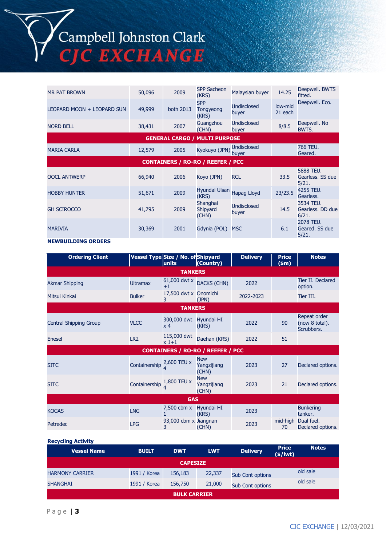| <b>MR PAT BROWN</b>                      | 50,096 | 2009      | <b>SPP Sacheon</b><br>(KRS)          | Malaysian buyer             | 14.25              | Deepwell. BWTS<br>fitted.              |
|------------------------------------------|--------|-----------|--------------------------------------|-----------------------------|--------------------|----------------------------------------|
| LEOPARD MOON + LEOPARD SUN               | 49,999 | both 2013 | <b>SPP</b><br>Tongyeong<br>(KRS)     | <b>Undisclosed</b><br>buyer | low-mid<br>21 each | Deepwell. Eco.                         |
| <b>NORD BELL</b>                         | 38,431 | 2007      | Guangzhou<br>(CHN)                   | Undisclosed<br>buyer        | 8/8.5              | Deepwell. No<br>BWTS.                  |
|                                          |        |           | <b>GENERAL CARGO / MULTI PURPOSE</b> |                             |                    |                                        |
| <b>MARIA CARLA</b>                       | 12,579 | 2005      | Kyokuyo (JPN)                        | <b>Undisclosed</b><br>buyer |                    | 766 TEU.<br>Geared.                    |
| <b>CONTAINERS / RO-RO / REEFER / PCC</b> |        |           |                                      |                             |                    |                                        |
| <b>OOCL ANTWERP</b>                      | 66,940 | 2006      | Koyo (JPN)                           | <b>RCL</b>                  | 33.5               | 5888 TEU.<br>Gearless. SS due<br>5/21. |
| <b>HOBBY HUNTER</b>                      | 51,671 | 2009      | Hyundai Ulsan<br>(KRS)               | Hapag Lloyd                 | 23/23.5            | 4255 TEU.<br>Gearless.                 |
| <b>GH SCIROCCO</b>                       | 41,795 | 2009      | Shanghai<br>Shipyard<br>(CHN)        | <b>Undisclosed</b><br>buyer | 14.5               | 3534 TEU.<br>Gearless, DD due<br>6/21. |
| <b>MARIVIA</b>                           | 30,369 | 2001      | Gdynia (POL)                         | <b>MSC</b>                  | 6.1                | 2078 TEU.<br>Geared. SS due<br>5/21.   |

### **NEWBUILDING ORDERS**

| <b>Ordering Client</b> |                 | Vessel Type Size / No. of Shipyard<br>units | (Country)                                | <b>Delivery</b> | <b>Price</b><br>(\$m) | <b>Notes</b>                                 |  |
|------------------------|-----------------|---------------------------------------------|------------------------------------------|-----------------|-----------------------|----------------------------------------------|--|
| <b>TANKERS</b>         |                 |                                             |                                          |                 |                       |                                              |  |
| <b>Akmar Shipping</b>  | <b>Ultramax</b> | 61,000 dwt x DACKS (CHN)<br>$+1$            |                                          | 2022            |                       | Tier II. Declared<br>option.                 |  |
| Mitsui Kinkai          | <b>Bulker</b>   | 17,500 dwt x Onomichi<br>3                  | (JPN)                                    | 2022-2023       |                       | Tier III.                                    |  |
|                        |                 | <b>TANKERS</b>                              |                                          |                 |                       |                                              |  |
| Central Shipping Group | <b>VLCC</b>     | 300,000 dwt<br>x <sub>4</sub>               | Hyundai HI<br>(KRS)                      | 2022            | 90                    | Repeat order<br>(now 8 total).<br>Scrubbers. |  |
| Enesel                 | LR <sub>2</sub> | 115,000 dwt<br>$x1+1$                       | Daehan (KRS)                             | 2022            | 51                    |                                              |  |
|                        |                 |                                             | <b>CONTAINERS / RO-RO / REEFER / PCC</b> |                 |                       |                                              |  |
| <b>SITC</b>            | Containership   | 2,600 TEU x                                 | <b>New</b><br>Yangzijiang<br>(CHN)       | 2023            | 27                    | Declared options.                            |  |
| <b>SITC</b>            | Containership   | 1,800 TEU x                                 | <b>New</b><br>Yangzijiang<br>(CHN)       | 2023            | 21                    | Declared options.                            |  |
| <b>GAS</b>             |                 |                                             |                                          |                 |                       |                                              |  |
| <b>KOGAS</b>           | <b>LNG</b>      | 7,500 cbm x                                 | Hyundai HI<br>(KRS)                      | 2023            |                       | <b>Bunkering</b><br>tanker.                  |  |
| Petredec               | <b>LPG</b>      | 93,000 cbm x Jiangnan<br>3                  | (CHN)                                    | 2023            | 70                    | mid-high Dual fuel.<br>Declared options.     |  |

#### **Recycling Activity**

| <b>Vessel Name</b>     | <b>BUILT</b> | <b>DWT</b> | <b>LWT</b> | <b>Delivery</b>         | <b>Price</b><br>$(\frac{2}{3}) lwt)$ | <b>Notes</b> |
|------------------------|--------------|------------|------------|-------------------------|--------------------------------------|--------------|
| <b>CAPESIZE</b>        |              |            |            |                         |                                      |              |
| <b>HARMONY CARRIER</b> | 1991 / Korea | 156,183    | 22,337     | <b>Sub Cont options</b> |                                      | old sale     |
| <b>SHANGHAI</b>        | 1991 / Korea | 156,750    | 21,000     | <b>Sub Cont options</b> |                                      | old sale     |
| <b>BULK CARRIER</b>    |              |            |            |                         |                                      |              |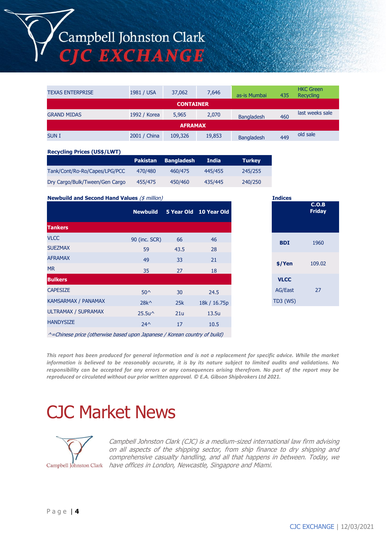# Campbell Johnston Clark **CJC EXCHANGE**

| <b>TEXAS ENTERPRISE</b> | 1981 / USA   | 37,062  | 7,646  | as-is Mumbai      | 435 | <b>HKC Green</b><br>Recycling |
|-------------------------|--------------|---------|--------|-------------------|-----|-------------------------------|
| <b>CONTAINER</b>        |              |         |        |                   |     |                               |
| <b>GRAND MIDAS</b>      | 1992 / Korea | 5,965   | 2,070  | <b>Bangladesh</b> | 460 | last weeks sale               |
| <b>AFRAMAX</b>          |              |         |        |                   |     |                               |
| <b>SUNI</b>             | 2001 / China | 109,326 | 19,853 | <b>Bangladesh</b> | 449 | old sale                      |

#### **Recycling Prices (US\$/LWT)**

|                                | <b>Pakistan</b> | <b>Bangladesh</b> | India   | <b>Turkey</b> |
|--------------------------------|-----------------|-------------------|---------|---------------|
| Tank/Cont/Ro-Ro/Capes/LPG/PCC  | 470/480         | 460/475           | 445/455 | 245/255       |
| Dry Cargo/Bulk/Tween/Gen Cargo | 455/475         | 450/460           | 435/445 | 240/250       |

**Newbuild and Second Hand Values** (\$ million)

|                     | <b>Newbuild</b>                     |      | 5 Year Old 10 Year Old |
|---------------------|-------------------------------------|------|------------------------|
| <b>Tankers</b>      |                                     |      |                        |
| <b>VLCC</b>         | 90 (inc. SCR)                       | 66   | 46                     |
| <b>SUEZMAX</b>      | 59                                  | 43.5 | 28                     |
| <b>AFRAMAX</b>      | 49                                  | 33   | 21                     |
| <b>MR</b>           | 35                                  | 27   | 18                     |
| <b>Bulkers</b>      |                                     |      |                        |
| <b>CAPESIZE</b>     | $50^{\circ}$                        | 30   | 24.5                   |
| KAMSARMAX / PANAMAX | $28k^{\wedge}$                      | 25k  | 18k / 16.75p           |
| ULTRAMAX / SUPRAMAX | 25.5u <sup><math>\land</math></sup> | 21u  | 13.5u                  |
| <b>HANDYSIZE</b>    | $24^{\wedge}$                       | 17   | 10.5                   |
|                     |                                     |      |                        |

| <b>Indices</b>  |                        |  |  |  |
|-----------------|------------------------|--|--|--|
|                 | C.O.B<br><b>Friday</b> |  |  |  |
|                 |                        |  |  |  |
| <b>BDI</b>      | 1960                   |  |  |  |
| \$/Yen          | 109.02                 |  |  |  |
| <b>VLCC</b>     |                        |  |  |  |
| <b>AG/East</b>  | 27                     |  |  |  |
| <b>TD3 (WS)</b> |                        |  |  |  |

 $^{\wedge}$ =Chinese price (otherwise based upon Japanese / Korean country of build)

*This report has been produced for general information and is not a replacement for specific advice. While the market information is believed to be reasonably accurate, it is by its nature subject to limited audits and validations. No responsibility can be accepted for any errors or any consequences arising therefrom. No part of the report may be reproduced or circulated without our prior written approval. © E.A. Gibson Shipbrokers Ltd 2021.*

# CJC Market News



Campbell Johnston Clark (CJC) is a medium-sized international law firm advising on all aspects of the shipping sector, from ship finance to dry shipping and comprehensive casualty handling, and all that happens in between. Today, we Campbell Johnston Clark have offices in London, Newcastle, Singapore and Miami.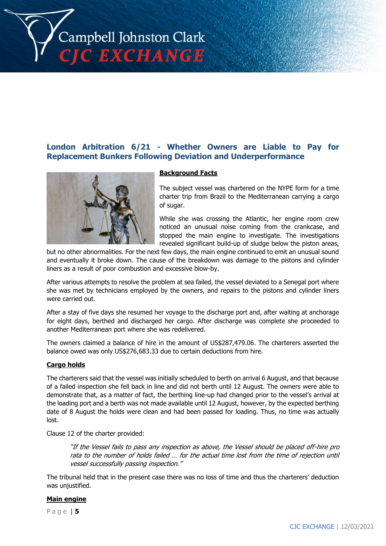

# **London Arbitration 6/21 - Whether Owners are Liable to Pay for Replacement Bunkers Following Deviation and Underperformance**



## **Background Facts**

The subject vessel was chartered on the NYPE form for a time charter trip from Brazil to the Mediterranean carrying a cargo of sugar.

While she was crossing the Atlantic, her engine room crew noticed an unusual noise coming from the crankcase, and stopped the main engine to investigate. The investigations revealed significant build-up of sludge below the piston areas,

but no other abnormalities. For the next few days, the main engine continued to emit an unusual sound and eventually it broke down. The cause of the breakdown was damage to the pistons and cylinder liners as a result of poor combustion and excessive blow-by.

After various attempts to resolve the problem at sea failed, the vessel deviated to a Senegal port where she was met by technicians employed by the owners, and repairs to the pistons and cylinder liners were carried out.

After a stay of five days she resumed her voyage to the discharge port and, after waiting at anchorage for eight days, berthed and discharged her cargo. After discharge was complete she proceeded to another Mediterranean port where she was redelivered.

The owners claimed a balance of hire in the amount of US\$287,479.06. The charterers asserted the balance owed was only US\$276,683.33 due to certain deductions from hire.

### **Cargo holds**

The charterers said that the vessel was initially scheduled to berth on arrival 6 August, and that because of a failed inspection she fell back in line and did not berth until 12 August. The owners were able to demonstrate that, as a matter of fact, the berthing line-up had changed prior to the vessel's arrival at the loading port and a berth was not made available until 12 August, however, by the expected berthing date of 8 August the holds were clean and had been passed for loading. Thus, no time was actually lost.

Clause 12 of the charter provided:

"If the Vessel fails to pass any inspection as above, the Vessel should be placed off-hire pro rata to the number of holds failed … for the actual time lost from the time of rejection until vessel successfully passing inspection."

The tribunal held that in the present case there was no loss of time and thus the charterers' deduction was unjustified.

## **Main engine**

P a g e | **5**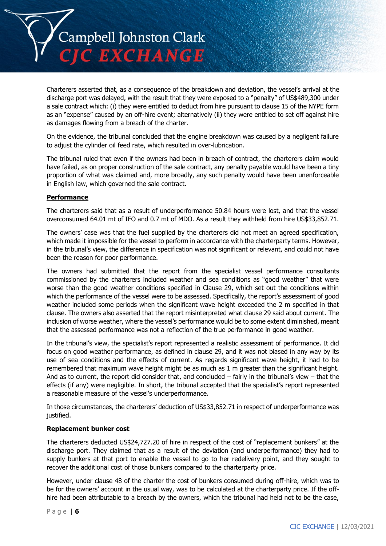

Charterers asserted that, as a consequence of the breakdown and deviation, the vessel's arrival at the discharge port was delayed, with the result that they were exposed to a "penalty" of US\$489,300 under a sale contract which: (i) they were entitled to deduct from hire pursuant to clause 15 of the NYPE form as an "expense" caused by an off-hire event; alternatively (ii) they were entitled to set off against hire as damages flowing from a breach of the charter.

On the evidence, the tribunal concluded that the engine breakdown was caused by a negligent failure to adjust the cylinder oil feed rate, which resulted in over-lubrication.

The tribunal ruled that even if the owners had been in breach of contract, the charterers claim would have failed, as on proper construction of the sale contract, any penalty payable would have been a tiny proportion of what was claimed and, more broadly, any such penalty would have been unenforceable in English law, which governed the sale contract.

## **Performance**

The charterers said that as a result of underperformance 50.84 hours were lost, and that the vessel overconsumed 64.01 mt of IFO and 0.7 mt of MDO. As a result they withheld from hire US\$33,852.71.

The owners' case was that the fuel supplied by the charterers did not meet an agreed specification, which made it impossible for the vessel to perform in accordance with the charterparty terms. However, in the tribunal's view, the difference in specification was not significant or relevant, and could not have been the reason for poor performance.

The owners had submitted that the report from the specialist vessel performance consultants commissioned by the charterers included weather and sea conditions as "good weather" that were worse than the good weather conditions specified in Clause 29, which set out the conditions within which the performance of the vessel were to be assessed. Specifically, the report's assessment of good weather included some periods when the significant wave height exceeded the 2 m specified in that clause. The owners also asserted that the report misinterpreted what clause 29 said about current. The inclusion of worse weather, where the vessel's performance would be to some extent diminished, meant that the assessed performance was not a reflection of the true performance in good weather.

In the tribunal's view, the specialist's report represented a realistic assessment of performance. It did focus on good weather performance, as defined in clause 29, and it was not biased in any way by its use of sea conditions and the effects of current. As regards significant wave height, it had to be remembered that maximum wave height might be as much as 1 m greater than the significant height. And as to current, the report did consider that, and concluded – fairly in the tribunal's view – that the effects (if any) were negligible. In short, the tribunal accepted that the specialist's report represented a reasonable measure of the vessel's underperformance.

In those circumstances, the charterers' deduction of US\$33,852.71 in respect of underperformance was justified.

### **Replacement bunker cost**

The charterers deducted US\$24,727.20 of hire in respect of the cost of "replacement bunkers" at the discharge port. They claimed that as a result of the deviation (and underperformance) they had to supply bunkers at that port to enable the vessel to go to her redelivery point, and they sought to recover the additional cost of those bunkers compared to the charterparty price.

However, under clause 48 of the charter the cost of bunkers consumed during off-hire, which was to be for the owners' account in the usual way, was to be calculated at the charterparty price. If the offhire had been attributable to a breach by the owners, which the tribunal had held not to be the case,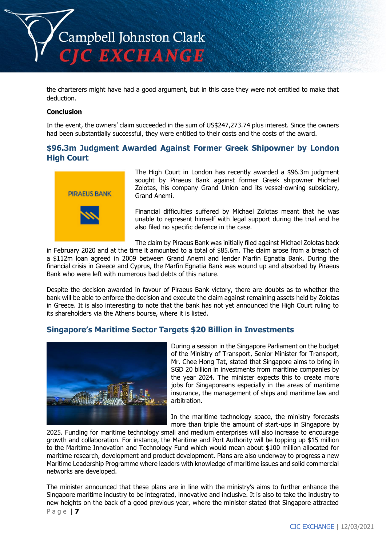

the charterers might have had a good argument, but in this case they were not entitled to make that deduction.

## **Conclusion**

In the event, the owners' claim succeeded in the sum of US\$247,273.74 plus interest. Since the owners had been substantially successful, they were entitled to their costs and the costs of the award.

# **\$96.3m Judgment Awarded Against Former Greek Shipowner by London High Court**



The High Court in London has recently awarded a \$96.3m judgment sought by Piraeus Bank against former Greek shipowner Michael Zolotas, his company Grand Union and its vessel-owning subsidiary, Grand Anemi.

Financial difficulties suffered by Michael Zolotas meant that he was unable to represent himself with legal support during the trial and he also filed no specific defence in the case.

The claim by Piraeus Bank was initially filed against Michael Zolotas back

in February 2020 and at the time it amounted to a total of \$85.6m. The claim arose from a breach of a \$112m loan agreed in 2009 between Grand Anemi and lender Marfin Egnatia Bank. During the financial crisis in Greece and Cyprus, the Marfin Egnatia Bank was wound up and absorbed by Piraeus Bank who were left with numerous bad debts of this nature.

Despite the decision awarded in favour of Piraeus Bank victory, there are doubts as to whether the bank will be able to enforce the decision and execute the claim against remaining assets held by Zolotas in Greece. It is also interesting to note that the bank has not yet announced the High Court ruling to its shareholders via the Athens bourse, where it is listed.

# **Singapore's Maritime Sector Targets \$20 Billion in Investments**



During a session in the Singapore Parliament on the budget of the Ministry of Transport, Senior Minister for Transport, Mr. Chee Hong Tat, stated that Singapore aims to bring in SGD 20 billion in investments from maritime companies by the year 2024. The minister expects this to create more jobs for Singaporeans especially in the areas of maritime insurance, the management of ships and maritime law and arbitration.

In the maritime technology space, the ministry forecasts more than triple the amount of start-ups in Singapore by

2025. Funding for maritime technology small and medium enterprises will also increase to encourage growth and collaboration. For instance, the Maritime and Port Authority will be topping up \$15 million to the Maritime Innovation and Technology Fund which would mean about \$100 million allocated for maritime research, development and product development. Plans are also underway to progress a new Maritime Leadership Programme where leaders with knowledge of maritime issues and solid commercial networks are developed.

P a g e | **7** The minister announced that these plans are in line with the ministry's aims to further enhance the Singapore maritime industry to be integrated, innovative and inclusive. It is also to take the industry to new heights on the back of a good previous year, where the minister stated that Singapore attracted